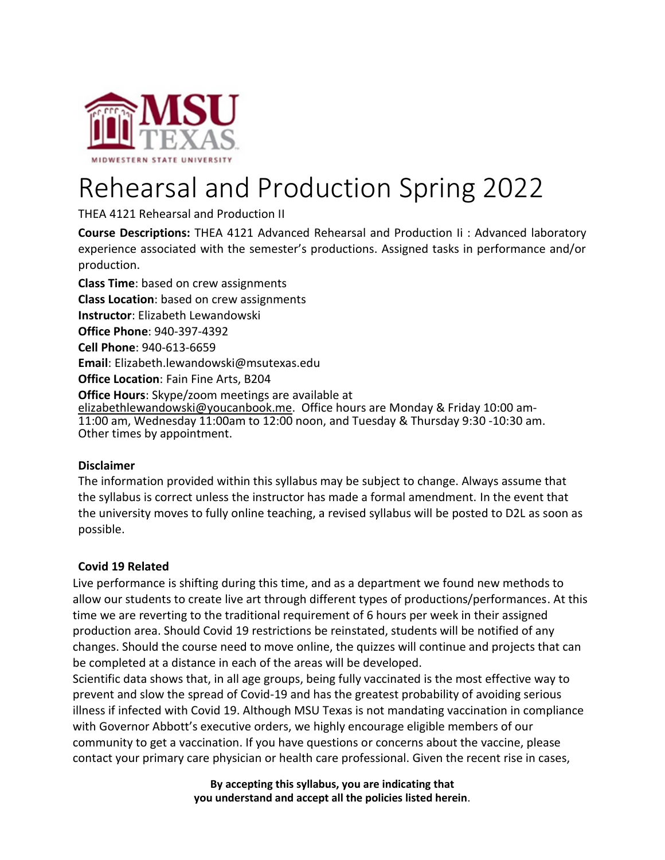

# Rehearsal and Production Spring 2022

THEA 4121 Rehearsal and Production II

**Course Descriptions:** THEA 4121 Advanced Rehearsal and Production Ii : Advanced laboratory experience associated with the semester's productions. Assigned tasks in performance and/or production.

**Class Time**: based on crew assignments **Class Location**: based on crew assignments **Instructor**: Elizabeth Lewandowski **Office Phone**: 940-397-4392 **Cell Phone**: 940-613-6659 **Email**: [Elizabeth.lewandowski@msutexas.edu](mailto:Elizabeth.lewandowski@msutexas.edu) **Office Location**: Fain Fine Arts, B204 **Office Hours**: Skype/zoom meetings are available at [elizabethlewandowski@youcanbook.me.](mailto:elizabethlewandowski@youcanbook.me) Office hours are Monday & Friday 10:00 am-11:00 am, Wednesday 11:00am to 12:00 noon, and Tuesday & Thursday 9:30 -10:30 am. Other times by appointment.

# **Disclaimer**

The information provided within this syllabus may be subject to change. Always assume that the syllabus is correct unless the instructor has made a formal amendment. In the event that the university moves to fully online teaching, a revised syllabus will be posted to D2L as soon as possible.

# **Covid 19 Related**

Live performance is shifting during this time, and as a department we found new methods to allow our students to create live art through different types of productions/performances. At this time we are reverting to the traditional requirement of 6 hours per week in their assigned production area. Should Covid 19 restrictions be reinstated, students will be notified of any changes. Should the course need to move online, the quizzes will continue and projects that can be completed at a distance in each of the areas will be developed.

Scientific data shows that, in all age groups, being fully vaccinated is the most effective way to prevent and slow the spread of Covid-19 and has the greatest probability of avoiding serious illness if infected with Covid 19. Although MSU Texas is not mandating vaccination in compliance with Governor Abbott's executive orders, we highly encourage eligible members of our community to get a vaccination. If you have questions or concerns about the vaccine, please contact your primary care physician or health care professional. Given the recent rise in cases,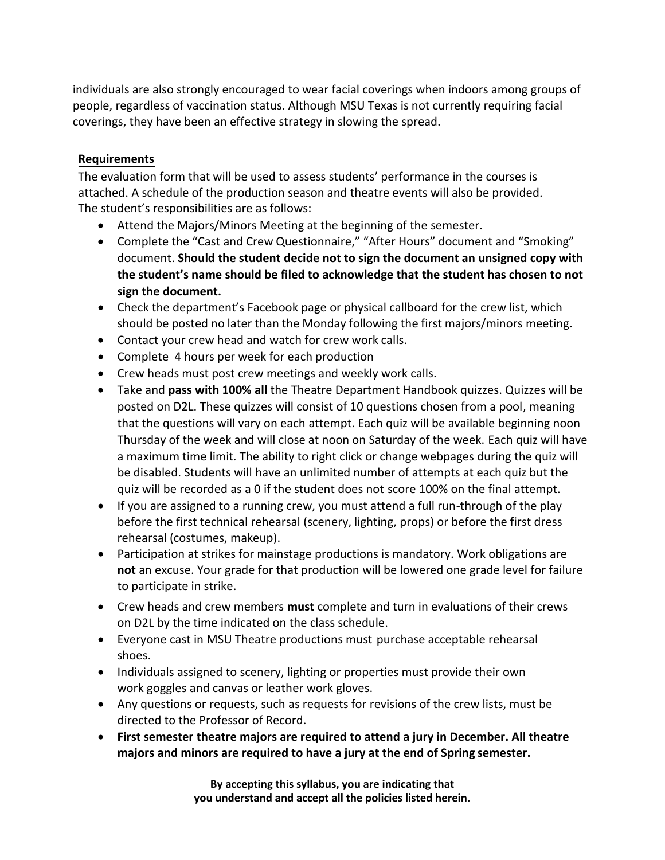individuals are also strongly encouraged to wear facial coverings when indoors among groups of people, regardless of vaccination status. Although MSU Texas is not currently requiring facial coverings, they have been an effective strategy in slowing the spread.

# **Requirements**

The evaluation form that will be used to assess students' performance in the courses is attached. A schedule of the production season and theatre events will also be provided. The student's responsibilities are as follows:

- Attend the Majors/Minors Meeting at the beginning of the semester.
- Complete the "Cast and Crew Questionnaire," "After Hours" document and "Smoking" document. **Should the student decide not to sign the document an unsigned copy with the student's name should be filed to acknowledge that the student has chosen to not sign the document.**
- Check the department's Facebook page or physical callboard for the crew list, which should be posted no later than the Monday following the first majors/minors meeting.
- Contact your crew head and watch for crew work calls.
- Complete 4 hours per week for each production
- Crew heads must post crew meetings and weekly work calls.
- Take and **pass with 100% all** the Theatre Department Handbook quizzes. Quizzes will be posted on D2L. These quizzes will consist of 10 questions chosen from a pool, meaning that the questions will vary on each attempt. Each quiz will be available beginning noon Thursday of the week and will close at noon on Saturday of the week. Each quiz will have a maximum time limit. The ability to right click or change webpages during the quiz will be disabled. Students will have an unlimited number of attempts at each quiz but the quiz will be recorded as a 0 if the student does not score 100% on the final attempt.
- If you are assigned to a running crew, you must attend a full run-through of the play before the first technical rehearsal (scenery, lighting, props) or before the first dress rehearsal (costumes, makeup).
- Participation at strikes for mainstage productions is mandatory. Work obligations are **not** an excuse. Your grade for that production will be lowered one grade level for failure to participate in strike.
- Crew heads and crew members **must** complete and turn in evaluations of their crews on D2L by the time indicated on the class schedule.
- Everyone cast in MSU Theatre productions must purchase acceptable rehearsal shoes.
- Individuals assigned to scenery, lighting or properties must provide their own work goggles and canvas or leather work gloves.
- Any questions or requests, such as requests for revisions of the crew lists, must be directed to the Professor of Record.
- **First semester theatre majors are required to attend a jury in December. All theatre majors and minors are required to have a jury at the end of Spring semester.**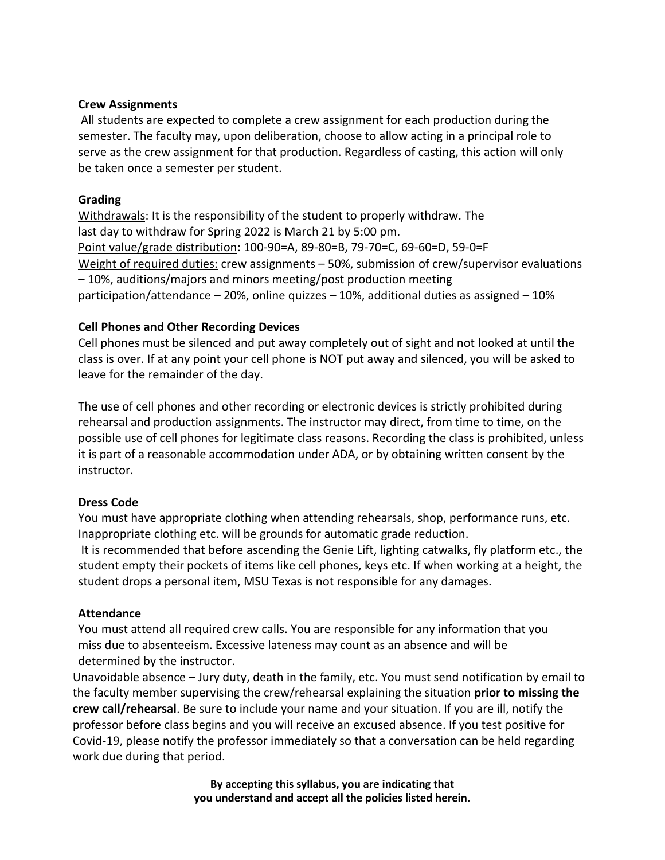#### **Crew Assignments**

All students are expected to complete a crew assignment for each production during the semester. The faculty may, upon deliberation, choose to allow acting in a principal role to serve as the crew assignment for that production. Regardless of casting, this action will only be taken once a semester per student.

#### **Grading**

Withdrawals: It is the responsibility of the student to properly withdraw. The last day to withdraw for Spring 2022 is March 21 by 5:00 pm. Point value/grade distribution: 100-90=A, 89-80=B, 79-70=C, 69-60=D, 59-0=F Weight of required duties: crew assignments – 50%, submission of crew/supervisor evaluations – 10%, auditions/majors and minors meeting/post production meeting participation/attendance – 20%, online quizzes – 10%, additional duties as assigned – 10%

#### **Cell Phones and Other Recording Devices**

Cell phones must be silenced and put away completely out of sight and not looked at until the class is over. If at any point your cell phone is NOT put away and silenced, you will be asked to leave for the remainder of the day.

The use of cell phones and other recording or electronic devices is strictly prohibited during rehearsal and production assignments. The instructor may direct, from time to time, on the possible use of cell phones for legitimate class reasons. Recording the class is prohibited, unless it is part of a reasonable accommodation under ADA, or by obtaining written consent by the instructor.

#### **Dress Code**

You must have appropriate clothing when attending rehearsals, shop, performance runs, etc. Inappropriate clothing etc. will be grounds for automatic grade reduction.

It is recommended that before ascending the Genie Lift, lighting catwalks, fly platform etc., the student empty their pockets of items like cell phones, keys etc. If when working at a height, the student drops a personal item, MSU Texas is not responsible for any damages.

#### **Attendance**

You must attend all required crew calls. You are responsible for any information that you miss due to absenteeism. Excessive lateness may count as an absence and will be determined by the instructor.

Unavoidable absence – Jury duty, death in the family, etc. You must send notification by email to the faculty member supervising the crew/rehearsal explaining the situation **prior to missing the crew call/rehearsal**. Be sure to include your name and your situation. If you are ill, notify the professor before class begins and you will receive an excused absence. If you test positive for Covid-19, please notify the professor immediately so that a conversation can be held regarding work due during that period.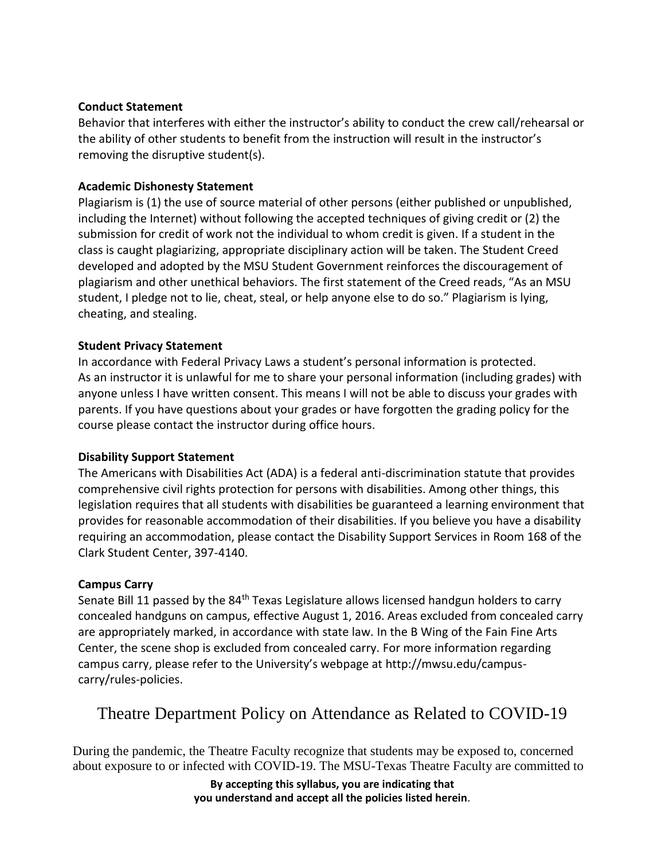# **Conduct Statement**

Behavior that interferes with either the instructor's ability to conduct the crew call/rehearsal or the ability of other students to benefit from the instruction will result in the instructor's removing the disruptive student(s).

# **Academic Dishonesty Statement**

Plagiarism is (1) the use of source material of other persons (either published or unpublished, including the Internet) without following the accepted techniques of giving credit or (2) the submission for credit of work not the individual to whom credit is given. If a student in the class is caught plagiarizing, appropriate disciplinary action will be taken. The Student Creed developed and adopted by the MSU Student Government reinforces the discouragement of plagiarism and other unethical behaviors. The first statement of the Creed reads, "As an MSU student, I pledge not to lie, cheat, steal, or help anyone else to do so." Plagiarism is lying, cheating, and stealing.

# **Student Privacy Statement**

In accordance with Federal Privacy Laws a student's personal information is protected. As an instructor it is unlawful for me to share your personal information (including grades) with anyone unless I have written consent. This means I will not be able to discuss your grades with parents. If you have questions about your grades or have forgotten the grading policy for the course please contact the instructor during office hours.

# **Disability Support Statement**

The Americans with Disabilities Act (ADA) is a federal anti-discrimination statute that provides comprehensive civil rights protection for persons with disabilities. Among other things, this legislation requires that all students with disabilities be guaranteed a learning environment that provides for reasonable accommodation of their disabilities. If you believe you have a disability requiring an accommodation, please contact the Disability Support Services in Room 168 of the Clark Student Center, 397-4140.

#### **Campus Carry**

Senate Bill 11 passed by the 84<sup>th</sup> Texas Legislature allows licensed handgun holders to carry concealed handguns on campus, effective August 1, 2016. Areas excluded from concealed carry are appropriately marked, in accordance with state law. In the B Wing of the Fain Fine Arts Center, the scene shop is excluded from concealed carry. For more information regarding campus carry, please refer to the University's webpage at [http://mwsu.edu/campus](http://mwsu.edu/campus-)carry/rules-policies.

# Theatre Department Policy on Attendance as Related to COVID-19

During the pandemic, the Theatre Faculty recognize that students may be exposed to, concerned about exposure to or infected with COVID-19. The MSU-Texas Theatre Faculty are committed to